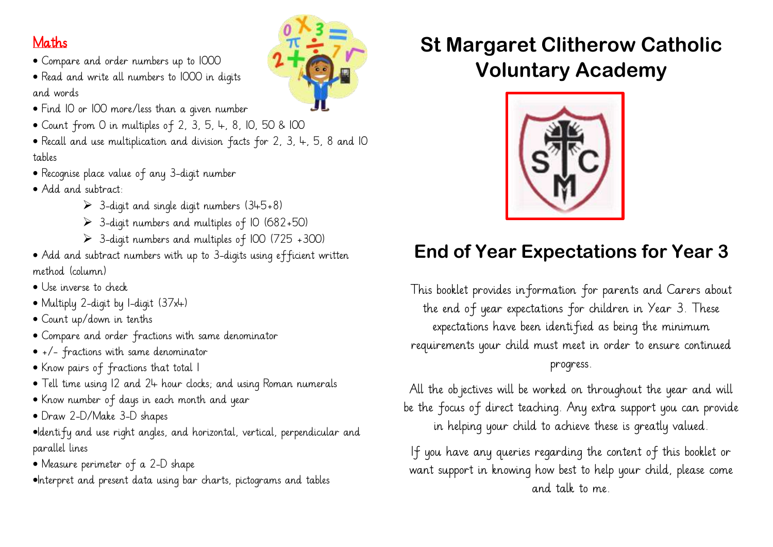#### Maths

- Compare and order numbers up to 1000
- Read and write all numbers to 1000 in digits and words
- Find 10 or 100 more/less than a given number
- Count from 0 in multiples of 2, 3, 5, 4, 8, 10, 50 & 100
- Recall and use multiplication and division facts for 2, 3, 4, 5, 8 and 10 tables
- Recognise place value of any 3-digit number
- Add and subtract:
	- $\geq$  3-digit and single digit numbers (345+8)
	- $\geq$  3-digit numbers and multiples of 10 (682+50)
	- $\geq$  3-digit numbers and multiples of 100 (725 +300)
- Add and subtract numbers with up to 3-digits using efficient written method (column)
- Use inverse to check
- Multiply 2-digit by 1-digit (37x4)
- Count up/down in tenths
- Compare and order fractions with same denominator
- +/- fractions with same denominator
- Know pairs of fractions that total 1
- Tell time using 12 and 24 hour clocks; and using Roman numerals
- Know number of days in each month and year
- Draw 2-D/Make 3-D shapes
- •Identify and use right angles, and horizontal, vertical, perpendicular and parallel lines
- Measure perimeter of a 2-D shape
- •Interpret and present data using bar charts, pictograms and tables

# **St Margaret Clitherow Catholic Voluntary Academy**



## **End of Year Expectations for Year 3**

This booklet provides information for parents and Carers about the end of year expectations for children in Year 3. These expectations have been identified as being the minimum requirements your child must meet in order to ensure continued progress.

All the objectives will be worked on throughout the year and will be the focus of direct teaching. Any extra support you can provide in helping your child to achieve these is greatly valued.

If you have any queries regarding the content of this booklet or want support in knowing how best to help your child, please come and talk to me.